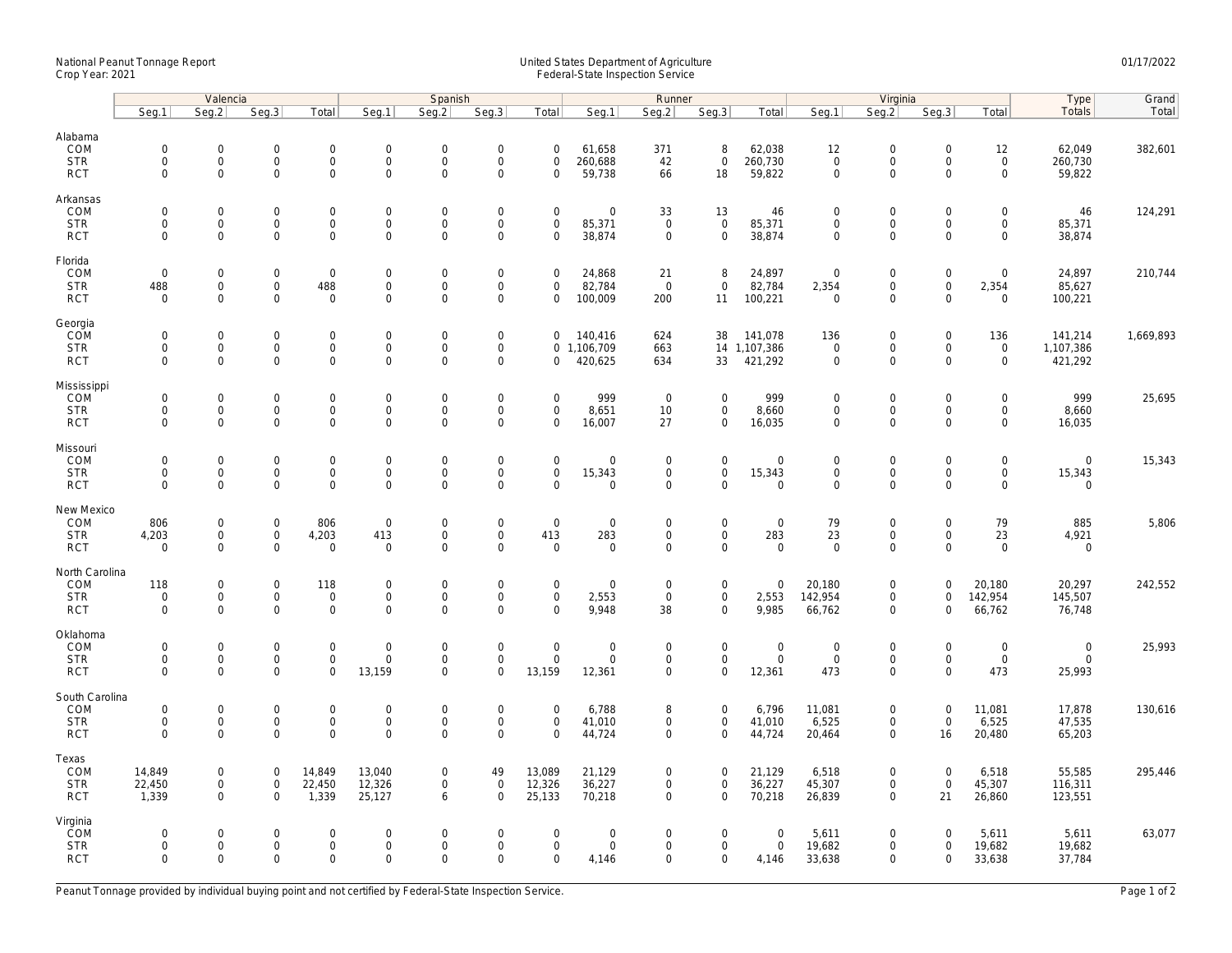## National Peanut Tonnage Report United States Department of Agriculture 01/17/2022 Crop Year: 2021 Federal-State Inspection Service

|                                                    | Valencia                                                  |                                         |                                                       |                                                            | Spanish                                            |                                           |                                                           |                                                   |                                                      | Runner                                    |                                                    |                                           | Virginia                                          |                                                           |                                                        |                                                   | Type                                 | Grand     |
|----------------------------------------------------|-----------------------------------------------------------|-----------------------------------------|-------------------------------------------------------|------------------------------------------------------------|----------------------------------------------------|-------------------------------------------|-----------------------------------------------------------|---------------------------------------------------|------------------------------------------------------|-------------------------------------------|----------------------------------------------------|-------------------------------------------|---------------------------------------------------|-----------------------------------------------------------|--------------------------------------------------------|---------------------------------------------------|--------------------------------------|-----------|
|                                                    | Seg.1                                                     | Seg.2                                   | Seg.3                                                 | Total                                                      | Seg.1                                              | Seq.2                                     | Seg.3                                                     | Total                                             | Seg.1                                                | Seg.2                                     | Seg.3                                              | Total                                     | Seg.1                                             | Seg.2                                                     | Seg.3                                                  | Total                                             | Totals                               | Total     |
| Alabama<br>COM<br><b>STR</b><br><b>RCT</b>         | $\mathsf{O}\xspace$<br>$\mathsf{O}\xspace$<br>$\Omega$    | 0<br>$\mathsf{O}\xspace$<br>$\Omega$    | $\mathbf 0$<br>$\mathsf 0$<br>$\mathbf 0$             | $\mathbf 0$<br>$\mathbf 0$<br>$\mathsf{O}$                 | $\mathbf 0$<br>$\mathbf 0$<br>$\mathsf{O}\xspace$  | $\mathbf 0$<br>$\mathbf 0$<br>$\Omega$    | $\mathbf 0$<br>$\mathsf 0$<br>$\Omega$                    | $\mathbf 0$<br>$\mathbf 0$<br>$\Omega$            | 61,658<br>260,688<br>59,738                          | 371<br>42<br>66                           | 8<br>$\mathbf 0$<br>18                             | 62,038<br>260,730<br>59,822               | 12<br>$\mathsf{O}\xspace$<br>$\mathbf 0$          | $\mathbf 0$<br>$\mathbf 0$<br>$\mathbf 0$                 | $\mathsf{O}\xspace$<br>$\mathsf{O}\xspace$<br>$\Omega$ | 12<br>$\mathsf{O}\xspace$<br>$\Omega$             | 62,049<br>260,730<br>59,822          | 382,601   |
| Arkansas<br>COM<br><b>STR</b><br><b>RCT</b>        | $\mathsf{O}\xspace$<br>$\mathsf{O}\xspace$<br>$\Omega$    | 0<br>0<br>$\Omega$                      | $\mathbf 0$<br>$\mathsf{O}\xspace$<br>$\overline{0}$  | $\mathbf 0$<br>$\mathsf{O}$<br>$\mathbf{0}$                | $\mathbf 0$<br>$\mathbf 0$<br>$\mathbf 0$          | $\mathbf 0$<br>$\mathbf 0$<br>$\Omega$    | $\mathbf 0$<br>$\mathsf{O}\xspace$<br>$\mathbf 0$         | $\mathbf 0$<br>$\mathbf 0$<br>$\Omega$            | $\mathbf 0$<br>85,371<br>38,874                      | 33<br>$\mathsf 0$<br>$\mathbf 0$          | 13<br>$\mathbf 0$<br>$\mathbf{0}$                  | 46<br>85,371<br>38,874                    | $\mathbf 0$<br>$\mathsf{O}\xspace$<br>$\mathbf 0$ | $\mathbf 0$<br>$\mathbf 0$<br>$\mathbf 0$                 | $\mathbf 0$<br>$\mathsf{O}\xspace$<br>$\Omega$         | 0<br>$\mathsf{O}\xspace$<br>$\Omega$              | 46<br>85,371<br>38,874               | 124,291   |
| Florida<br>COM<br><b>STR</b><br><b>RCT</b>         | $\mathbf 0$<br>488<br>$\mathbf 0$                         | 0<br>$\mathsf{O}\xspace$<br>$\mathbf 0$ | $\overline{0}$<br>$\mathsf{O}\xspace$<br>$\mathbf{0}$ | $\mathbf 0$<br>488<br>$\mathbf{0}$                         | $\mathbf 0$<br>$\mathbf 0$<br>$\mathbf 0$          | $\mathbf 0$<br>$\mathbf 0$<br>$\mathbf 0$ | $\mathsf{O}\xspace$<br>$\mathsf{O}\xspace$<br>$\mathbf 0$ | $\mathbf 0$<br>$\mathbf 0$<br>$\mathbf 0$         | 24,868<br>82,784<br>100,009                          | 21<br>$\mathbf 0$<br>200                  | 8<br>$\mathbf 0$<br>11                             | 24,897<br>82,784<br>100,221               | $\mathbf 0$<br>2,354<br>$\overline{0}$            | $\mathsf{O}\xspace$<br>$\mathbf 0$<br>$\mathbf 0$         | $\mathsf{O}\xspace$<br>$\mathsf{O}\xspace$<br>$\Omega$ | $\mathbf 0$<br>2,354<br>$\mathbf 0$               | 24,897<br>85,627<br>100,221          | 210,744   |
| Georgia<br>COM<br><b>STR</b><br><b>RCT</b>         | $\mathbf 0$<br>$\mathsf{O}\xspace$<br>$\mathbf 0$         | $\mathbf 0$<br>$\mathsf{O}\xspace$<br>0 | $\mathbf 0$<br>$\mathbf 0$<br>$\mathsf{O}\xspace$     | $\mathbf 0$<br>$\mathbf 0$<br>$\mathbf 0$                  | $\boldsymbol{0}$<br>$\mathbf 0$<br>$\mathbf 0$     | $\mathbf 0$<br>$\mathbf 0$<br>$\mathbf 0$ | $\mathsf{O}\xspace$<br>$\mathsf{O}\xspace$<br>$\mathbf 0$ | $\mathbf 0$<br>$\mathbf 0$                        | 140,416<br>0 1,106,709<br>420,625                    | 624<br>663<br>634                         | 38<br>33                                           | 141,078<br>14 1,107,386<br>421,292        | 136<br>$\mathsf{O}\xspace$<br>$\mathsf{O}\xspace$ | $\mathsf{O}\xspace$<br>$\mathbf 0$<br>$\mathbf 0$         | $\mathbf 0$<br>$\mathsf{O}\xspace$<br>$\mathbf 0$      | 136<br>$\mathsf{O}\xspace$<br>$\mathbf 0$         | 141,214<br>1,107,386<br>421,292      | 1,669,893 |
| Mississippi<br>COM<br><b>STR</b><br><b>RCT</b>     | $\mathsf{O}\xspace$<br>$\mathbf 0$<br>$\mathbf 0$         | 0<br>0<br>$\mathbf 0$                   | $\mathbf 0$<br>$\mathbf 0$<br>$\mathsf{O}\xspace$     | $\mathbf 0$<br>$\mathbf 0$<br>$\mathbf 0$                  | $\mathbf 0$<br>$\boldsymbol{0}$<br>$\mathbf 0$     | $\mathbf 0$<br>$\mathbf 0$<br>$\Omega$    | $\mathsf{O}\xspace$<br>$\mathsf{O}\xspace$<br>$\mathbf 0$ | $\mathbf 0$<br>$\mathbf 0$<br>$\mathbf 0$         | 999<br>8,651<br>16,007                               | $\mathbf 0$<br>10<br>27                   | $\mathbf 0$<br>$\mathbf 0$<br>$\mathbf 0$          | 999<br>8,660<br>16,035                    | $\mathbf 0$<br>$\mathsf{O}\xspace$<br>$\mathbf 0$ | $\mathbf 0$<br>$\mathsf{O}\xspace$<br>$\mathbf 0$         | $\mathbf 0$<br>$\mathsf{O}\xspace$<br>$\mathbf 0$      | 0<br>$\mathbf 0$<br>$\mathbf 0$                   | 999<br>8,660<br>16,035               | 25,695    |
| Missouri<br>COM<br><b>STR</b><br><b>RCT</b>        | $\mathsf{O}\xspace$<br>$\mathbf 0$<br>$\mathbf 0$         | 0<br>0<br>$\mathbf 0$                   | $\mathbf 0$<br>$\mathsf 0$<br>$\mathsf 0$             | $\mathbf 0$<br>$\mathsf{O}$<br>$\mathbf{0}$                | $\mathbf 0$<br>$\mathsf{O}\xspace$<br>$\mathbf{0}$ | $\mathbf 0$<br>$\mathbf 0$<br>$\mathbf 0$ | $\mathsf{O}\xspace$<br>$\mathsf{O}\xspace$<br>$\mathbf 0$ | $\mathbf 0$<br>$\mathsf{O}\xspace$<br>$\Omega$    | $\mathsf{O}\xspace$<br>15,343<br>$\mathbf 0$         | $\mathbf 0$<br>$\mathbf 0$<br>$\mathbf 0$ | $\mathbf 0$<br>$\mathsf{O}\xspace$<br>$\mathbf{0}$ | $\overline{0}$<br>15,343<br>$\mathsf 0$   | $\mathbf 0$<br>$\mathbf{0}$<br>$\mathbf 0$        | $\mathbf 0$<br>$\mathsf{O}\xspace$<br>$\mathbf 0$         | $\mathbf 0$<br>$\mathbf 0$<br>$\mathbf 0$              | $\mathbf 0$<br>$\mathsf{O}\xspace$<br>$\mathbf 0$ | $\mathbf 0$<br>15,343<br>$\mathbf 0$ | 15,343    |
| New Mexico<br>COM<br><b>STR</b><br><b>RCT</b>      | 806<br>4,203<br>$\mathbf 0$                               | 0<br>$\mathsf{O}\xspace$<br>$\mathbf 0$ | $\mathbf 0$<br>$\mathbf 0$<br>$\mathbf 0$             | 806<br>4,203<br>$\mathsf 0$                                | $\mathbf 0$<br>413<br>$\mathbf 0$                  | $\mathbf 0$<br>$\mathbf 0$<br>$\mathbf 0$ | $\mathsf{O}\xspace$<br>$\mathsf 0$<br>$\mathbf 0$         | $\mathbf 0$<br>413<br>$\mathbf 0$                 | $\mathbf 0$<br>283<br>$\mathbf 0$                    | $\mathbf 0$<br>$\mathbf 0$<br>$\mathbf 0$ | $\mathbf 0$<br>$\mathbf{0}$<br>$\mathbf 0$         | $\mathbf 0$<br>283<br>$\mathbf 0$         | 79<br>23<br>$\mathbf 0$                           | $\mathsf{O}\xspace$<br>$\mathbf 0$<br>$\mathbf 0$         | $\mathbf 0$<br>$\mathbf 0$<br>$\mathbf 0$              | 79<br>23<br>$\mathbf 0$                           | 885<br>4,921<br>$\mathbf 0$          | 5,806     |
| North Carolina<br>COM<br><b>STR</b><br><b>RCT</b>  | 118<br>$\mathsf{O}\xspace$<br>$\Omega$                    | 0<br>0<br>$\Omega$                      | $\mathbf 0$<br>$\mathsf 0$<br>$\Omega$                | 118<br>$\mathsf 0$<br>$\mathbf 0$                          | $\boldsymbol{0}$<br>$\mathsf 0$<br>$\Omega$        | $\mathbf 0$<br>$\mathbf 0$<br>$\Omega$    | $\mathsf{O}\xspace$<br>$\mathsf 0$<br>$\Omega$            | $\mathbf 0$<br>$\mathbf 0$<br>$\Omega$            | $\mathsf{O}\xspace$<br>2,553<br>9,948                | $\mathbf 0$<br>$\mathbf 0$<br>38          | $\mathbf 0$<br>$\mathbf 0$<br>$\mathbf 0$          | $\mathbf 0$<br>2,553<br>9,985             | 20,180<br>142,954<br>66,762                       | $\mathbf 0$<br>$\mathbf 0$<br>$\mathbf 0$                 | $\mathbf 0$<br>$\mathbf 0$<br>$\Omega$                 | 20,180<br>142,954<br>66,762                       | 20,297<br>145,507<br>76,748          | 242,552   |
| Oklahoma<br>COM<br><b>STR</b><br><b>RCT</b>        | $\mathsf{O}\xspace$<br>$\mathbf 0$<br>$\Omega$            | 0<br>0<br>$\Omega$                      | $\mathsf 0$<br>$\mathsf 0$<br>$\mathbf 0$             | $\mathbf 0$<br>$\mathsf{O}\xspace$<br>$\Omega$             | $\mathbf 0$<br>$\mathbf 0$<br>13,159               | $\mathbf 0$<br>$\mathbf 0$<br>$\Omega$    | $\mathsf{O}\xspace$<br>$\mathsf{O}\xspace$<br>$\Omega$    | $\mathbf 0$<br>$\mathbf 0$<br>13,159              | $\mathsf{O}\xspace$<br>$\mathsf{O}\xspace$<br>12,361 | $\mathbf 0$<br>0<br>$\mathbf 0$           | $\mathbf 0$<br>$\mathsf{O}\xspace$<br>$\mathbf 0$  | $\mathbf 0$<br>$\boldsymbol{0}$<br>12,361 | $\mathbf 0$<br>$\mathbf 0$<br>473                 | $\mathbf 0$<br>$\mathsf{O}\xspace$<br>$\mathbf 0$         | $\mathbf 0$<br>$\mathbf 0$<br>$\Omega$                 | $\mathsf{O}\xspace$<br>$\mathsf{O}\xspace$<br>473 | $\mathbf 0$<br>$\mathbf 0$<br>25,993 | 25,993    |
| South Carolina<br>COM<br><b>STR</b><br><b>RCT</b>  | $\mathsf{O}\xspace$<br>$\mathsf{O}\xspace$<br>$\mathbf 0$ | 0<br>$\mathsf{O}\xspace$<br>$\mathbf 0$ | $\mathsf{O}\xspace$<br>$\mathsf 0$<br>$\mathbf 0$     | $\mathsf{O}\xspace$<br>$\mathsf{O}\xspace$<br>$\mathsf{O}$ | $\mathbf 0$<br>$\mathsf{O}\xspace$<br>$\mathbf{0}$ | $\mathbf 0$<br>$\mathbf 0$<br>$\Omega$    | $\mathsf{O}\xspace$<br>$\mathsf{O}\xspace$<br>$\mathbf 0$ | $\mathbf 0$<br>$\mathsf{O}\xspace$<br>$\mathbf 0$ | 6,788<br>41,010<br>44,724                            | 8<br>0<br>$\mathbf 0$                     | $\mathbf 0$<br>$\mathsf{O}\xspace$<br>$\mathbf 0$  | 6,796<br>41,010<br>44,724                 | 11,081<br>6,525<br>20,464                         | $\mathsf{O}\xspace$<br>$\mathsf{O}\xspace$<br>$\mathbf 0$ | $\mathsf{O}\xspace$<br>$\mathsf{O}\xspace$<br>16       | 11,081<br>6,525<br>20,480                         | 17,878<br>47,535<br>65,203           | 130,616   |
| Texas<br>COM<br><b>STR</b><br><b>RCT</b>           | 14,849<br>22,450<br>1,339                                 | $\mathbf 0$<br>0<br>$\mathbf 0$         | $\overline{0}$<br>$\mathbf 0$<br>$\mathbf 0$          | 14,849<br>22,450<br>1,339                                  | 13,040<br>12,326<br>25,127                         | $\mathbf 0$<br>$\mathbf 0$<br>6           | 49<br>$\mathsf{O}\xspace$<br>$\mathbf 0$                  | 13,089<br>12,326<br>25,133                        | 21,129<br>36,227<br>70,218                           | $\mathbf 0$<br>0<br>$\mathbf 0$           | $\mathbf 0$<br>$\mathbf 0$<br>$\mathbf 0$          | 21,129<br>36,227<br>70,218                | 6,518<br>45,307<br>26,839                         | $\mathbf 0$<br>$\mathbf 0$<br>$\mathbf 0$                 | $\mathbf 0$<br>$\mathsf{O}\xspace$<br>21               | 6,518<br>45,307<br>26,860                         | 55,585<br>116,311<br>123,551         | 295,446   |
| Virginia<br><b>ČOM</b><br><b>STR</b><br><b>RCT</b> | $\mathbf 0$<br>$\mathsf{O}\xspace$<br>$\Omega$            | 0<br>0<br>$\mathbf 0$                   | $\mathbf 0$<br>$\overline{0}$<br>$\mathbf 0$          | $\mathsf 0$<br>$\mathbf 0$<br>$\mathbf 0$                  | $\mathbf 0$<br>$\mathbf 0$<br>$\mathbf 0$          | $\mathbf 0$<br>$\mathbf 0$<br>$\Omega$    | $\mathbf 0$<br>$\mathsf{O}\xspace$<br>$\Omega$            | $\mathbf 0$<br>$\mathbf 0$<br>$\Omega$            | $\mathsf{O}\xspace$<br>$\mathbf 0$<br>4,146          | $\mathbf 0$<br>0<br>$\mathbf 0$           | $\mathbf 0$<br>$\mathbf 0$<br>$\mathbf 0$          | $\mathbf 0$<br>$\mathsf{O}$<br>4,146      | 5,611<br>19,682<br>33,638                         | $\mathbf 0$<br>$\mathsf{O}\xspace$<br>$\mathbf 0$         | $\mathbf 0$<br>$\mathbf 0$<br>$\mathbf 0$              | 5,611<br>19,682<br>33,638                         | 5,611<br>19,682<br>37,784            | 63,077    |

Peanut Tonnage provided by individual buying point and not certified by Federal-State Inspection Service. Page 1 of 2